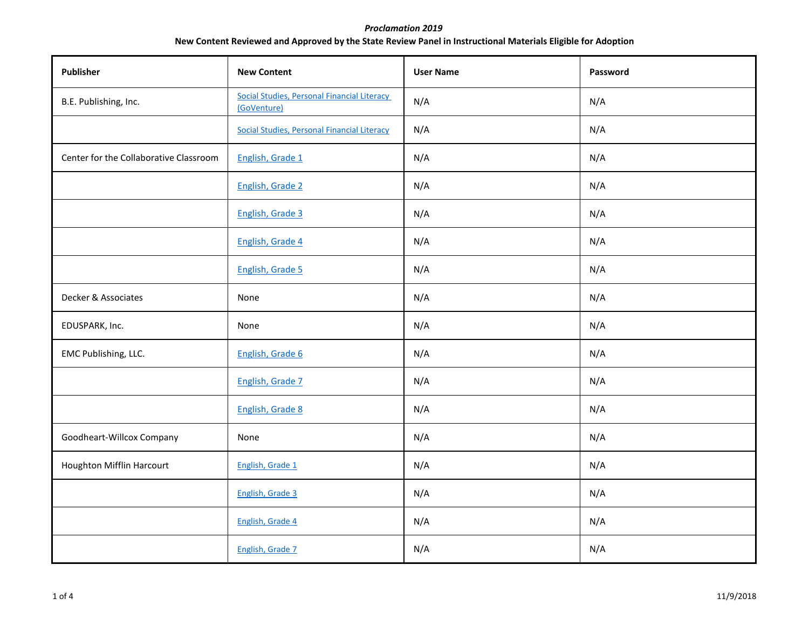## *Proclamation 2019*  **New Content Reviewed and Approved by the State Review Panel in Instructional Materials Eligible for Adoption**

| Publisher                              | <b>New Content</b>                                         | <b>User Name</b> | Password |
|----------------------------------------|------------------------------------------------------------|------------------|----------|
| B.E. Publishing, Inc.                  | Social Studies, Personal Financial Literacy<br>(GoVenture) | N/A              | N/A      |
|                                        | <b>Social Studies, Personal Financial Literacy</b>         | N/A              | N/A      |
| Center for the Collaborative Classroom | English, Grade 1                                           | N/A              | N/A      |
|                                        | English, Grade 2                                           | N/A              | N/A      |
|                                        | English, Grade 3                                           | N/A              | N/A      |
|                                        | English, Grade 4                                           | N/A              | N/A      |
|                                        | English, Grade 5                                           | N/A              | N/A      |
| Decker & Associates                    | None                                                       | N/A              | N/A      |
| EDUSPARK, Inc.                         | None                                                       | N/A              | N/A      |
| EMC Publishing, LLC.                   | English, Grade 6                                           | N/A              | N/A      |
|                                        | English, Grade 7                                           | N/A              | N/A      |
|                                        | English, Grade 8                                           | N/A              | N/A      |
| Goodheart-Willcox Company              | None                                                       | N/A              | N/A      |
| Houghton Mifflin Harcourt              | English, Grade 1                                           | N/A              | N/A      |
|                                        | English, Grade 3                                           | N/A              | N/A      |
|                                        | English, Grade 4                                           | N/A              | N/A      |
|                                        | English, Grade 7                                           | N/A              | N/A      |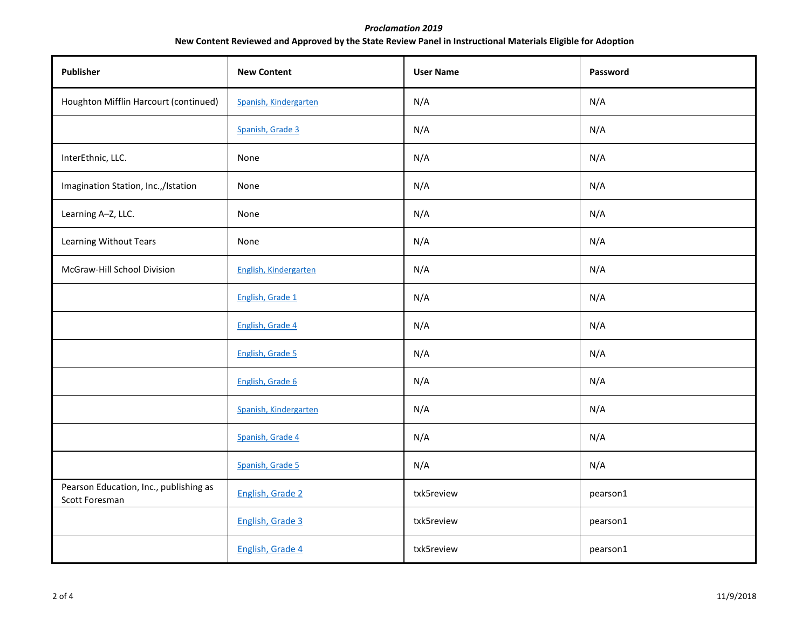## *Proclamation 2019*  **New Content Reviewed and Approved by the State Review Panel in Instructional Materials Eligible for Adoption**

| Publisher                                                | <b>New Content</b>    | <b>User Name</b> | Password |
|----------------------------------------------------------|-----------------------|------------------|----------|
| Houghton Mifflin Harcourt (continued)                    | Spanish, Kindergarten | N/A              | N/A      |
|                                                          | Spanish, Grade 3      | N/A              | N/A      |
| InterEthnic, LLC.                                        | None                  | N/A              | N/A      |
| Imagination Station, Inc.,/Istation                      | None                  | N/A              | N/A      |
| Learning A-Z, LLC.                                       | None                  | N/A              | N/A      |
| Learning Without Tears                                   | None                  | N/A              | N/A      |
| McGraw-Hill School Division                              | English, Kindergarten | N/A              | N/A      |
|                                                          | English, Grade 1      | N/A              | N/A      |
|                                                          | English, Grade 4      | N/A              | N/A      |
|                                                          | English, Grade 5      | N/A              | N/A      |
|                                                          | English, Grade 6      | N/A              | N/A      |
|                                                          | Spanish, Kindergarten | N/A              | N/A      |
|                                                          | Spanish, Grade 4      | N/A              | N/A      |
|                                                          | Spanish, Grade 5      | N/A              | N/A      |
| Pearson Education, Inc., publishing as<br>Scott Foresman | English, Grade 2      | txk5review       | pearson1 |
|                                                          | English, Grade 3      | txk5review       | pearson1 |
|                                                          | English, Grade 4      | txk5review       | pearson1 |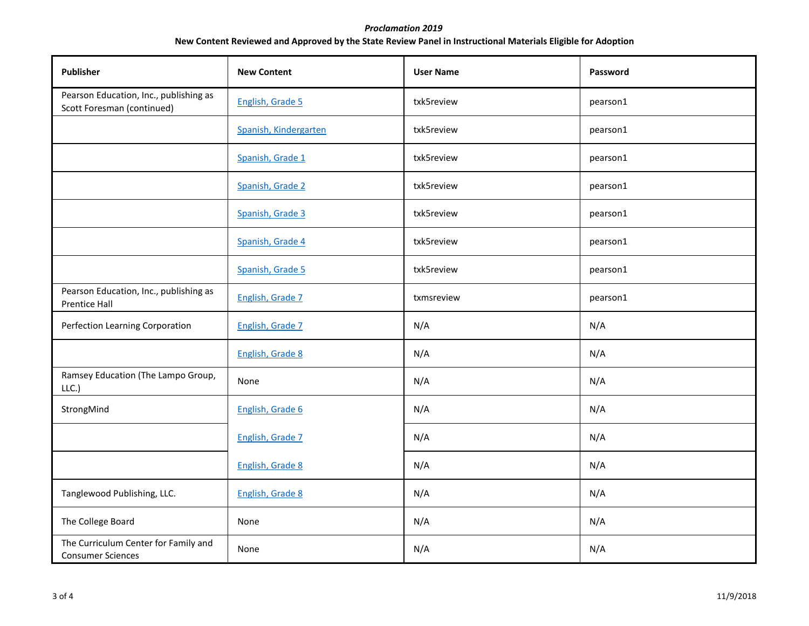## *Proclamation 2019*  **New Content Reviewed and Approved by the State Review Panel in Instructional Materials Eligible for Adoption**

| Publisher                                                            | <b>New Content</b>    | <b>User Name</b> | Password |
|----------------------------------------------------------------------|-----------------------|------------------|----------|
| Pearson Education, Inc., publishing as<br>Scott Foresman (continued) | English, Grade 5      | txk5review       | pearson1 |
|                                                                      | Spanish, Kindergarten | txk5review       | pearson1 |
|                                                                      | Spanish, Grade 1      | txk5review       | pearson1 |
|                                                                      | Spanish, Grade 2      | txk5review       | pearson1 |
|                                                                      | Spanish, Grade 3      | txk5review       | pearson1 |
|                                                                      | Spanish, Grade 4      | txk5review       | pearson1 |
|                                                                      | Spanish, Grade 5      | txk5review       | pearson1 |
| Pearson Education, Inc., publishing as<br><b>Prentice Hall</b>       | English, Grade 7      | txmsreview       | pearson1 |
| Perfection Learning Corporation                                      | English, Grade 7      | N/A              | N/A      |
|                                                                      | English, Grade 8      | N/A              | N/A      |
| Ramsey Education (The Lampo Group,<br>LLC.                           | None                  | N/A              | N/A      |
| StrongMind                                                           | English, Grade 6      | N/A              | N/A      |
|                                                                      | English, Grade 7      | N/A              | N/A      |
|                                                                      | English, Grade 8      | N/A              | N/A      |
| Tanglewood Publishing, LLC.                                          | English, Grade 8      | N/A              | N/A      |
| The College Board                                                    | None                  | N/A              | N/A      |
| The Curriculum Center for Family and<br><b>Consumer Sciences</b>     | None                  | N/A              | N/A      |